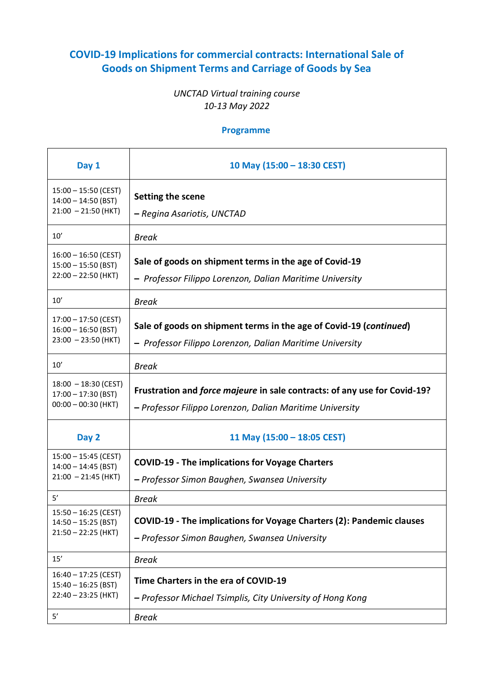## **COVID-19 Implications for commercial contracts: International Sale of Goods on Shipment Terms and Carriage of Goods by Sea**

## *UNCTAD Virtual training course 10-13 May 2022*

## **Programme**

| Day 1                                                                          | 10 May (15:00 - 18:30 CEST)                                                                                                            |
|--------------------------------------------------------------------------------|----------------------------------------------------------------------------------------------------------------------------------------|
| $15:00 - 15:50$ (CEST)<br>$14:00 - 14:50$ (BST)<br>$21:00 - 21:50$ (HKT)       | Setting the scene<br>– Regina Asariotis, UNCTAD                                                                                        |
| 10'                                                                            | <b>Break</b>                                                                                                                           |
| $16:00 - 16:50$ (CEST)<br>$15:00 - 15:50$ (BST)<br>$22:00 - 22:50$ (HKT)       | Sale of goods on shipment terms in the age of Covid-19<br>- Professor Filippo Lorenzon, Dalian Maritime University                     |
| 10'                                                                            | <b>Break</b>                                                                                                                           |
| $17:00 - 17:50$ (CEST)<br>$16:00 - 16:50$ (BST)<br>$23:00 - 23:50$ (HKT)       | Sale of goods on shipment terms in the age of Covid-19 (continued)<br>- Professor Filippo Lorenzon, Dalian Maritime University         |
| 10'                                                                            | <b>Break</b>                                                                                                                           |
| $18:00 - 18:30$ (CEST)<br>$17:00 - 17:30$ (BST)<br>$00:00 - 00:30$ (HKT)       | Frustration and force majeure in sale contracts: of any use for Covid-19?<br>- Professor Filippo Lorenzon, Dalian Maritime University  |
| Day 2                                                                          | 11 May (15:00 - 18:05 CEST)                                                                                                            |
| $15:00 - 15:45$ (CEST)<br>$14:00 - 14:45$ (BST)<br>$21:00 - 21:45$ (HKT)<br>5' | <b>COVID-19 - The implications for Voyage Charters</b><br>- Professor Simon Baughen, Swansea University                                |
| $15:50 - 16:25$ (CEST)<br>$14:50 - 15:25$ (BST)<br>$21:50 - 22:25$ (HKT)       | <b>Break</b><br>COVID-19 - The implications for Voyage Charters (2): Pandemic clauses<br>- Professor Simon Baughen, Swansea University |
| 15'                                                                            | <b>Break</b>                                                                                                                           |
| $16:40 - 17:25$ (CEST)<br>$15:40 - 16:25$ (BST)<br>$22:40 - 23:25$ (HKT)<br>5' | Time Charters in the era of COVID-19<br>- Professor Michael Tsimplis, City University of Hong Kong<br><b>Break</b>                     |
|                                                                                |                                                                                                                                        |